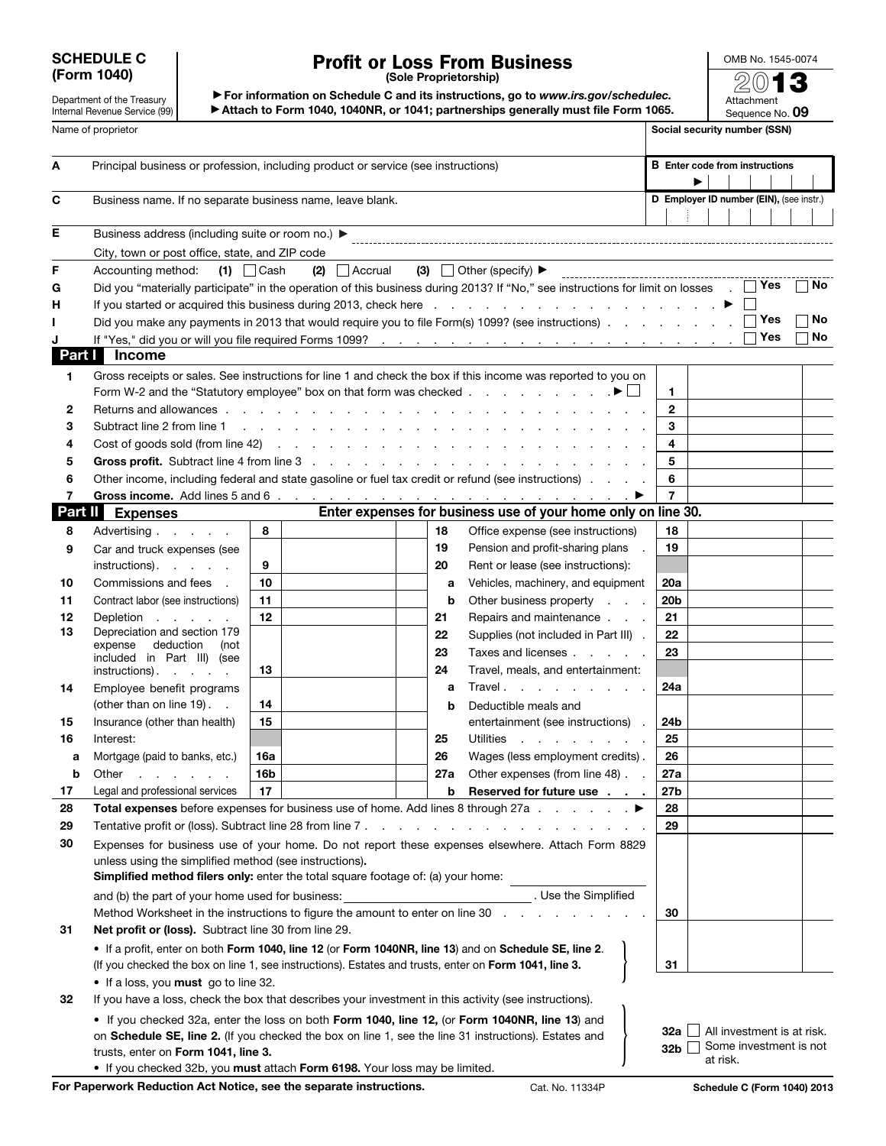## SCHEDULE C (Form 1040)

## Profit or Loss From Business

OMB No. 1545-0074 2013

Attachment

Department of the Treasury Internal Revenue Service (99)

▶ For information on Schedule C and its instructions, go to *www.irs.gov/schedulec.* ▶ Attach to Form 1040, 1040NR, or 1041; partnerships generally must file Form 1065.

|                    | Internal Revenue Service (99)                                                                                                                                                                                                  |                                                                                                                                                                                                                |                                              |          | Attach to Form 1040, 1040NR, or 1041; partnerships generally must file Form 1065.                                                                                                                                             |                              | Sequence No. 09 |      |  |  |  |  |
|--------------------|--------------------------------------------------------------------------------------------------------------------------------------------------------------------------------------------------------------------------------|----------------------------------------------------------------------------------------------------------------------------------------------------------------------------------------------------------------|----------------------------------------------|----------|-------------------------------------------------------------------------------------------------------------------------------------------------------------------------------------------------------------------------------|------------------------------|-----------------|------|--|--|--|--|
| Name of proprietor |                                                                                                                                                                                                                                |                                                                                                                                                                                                                |                                              |          |                                                                                                                                                                                                                               | Social security number (SSN) |                 |      |  |  |  |  |
| A                  | Principal business or profession, including product or service (see instructions)                                                                                                                                              | <b>B</b> Enter code from instructions                                                                                                                                                                          |                                              |          |                                                                                                                                                                                                                               |                              |                 |      |  |  |  |  |
| C                  | Business name. If no separate business name, leave blank.                                                                                                                                                                      |                                                                                                                                                                                                                | D Employer ID number (EIN), (see instr.)     |          |                                                                                                                                                                                                                               |                              |                 |      |  |  |  |  |
| Е                  | Business address (including suite or room no.) ▶                                                                                                                                                                               |                                                                                                                                                                                                                |                                              |          |                                                                                                                                                                                                                               |                              |                 |      |  |  |  |  |
|                    | City, town or post office, state, and ZIP code                                                                                                                                                                                 |                                                                                                                                                                                                                |                                              |          |                                                                                                                                                                                                                               |                              |                 |      |  |  |  |  |
| F                  | Accounting method:                                                                                                                                                                                                             | $(1)$ $\Box$ Cash                                                                                                                                                                                              | $(2)$ Accrual                                |          | (3) Other (specify) $\blacktriangleright$                                                                                                                                                                                     |                              |                 |      |  |  |  |  |
| G                  |                                                                                                                                                                                                                                |                                                                                                                                                                                                                |                                              |          | Did you "materially participate" in the operation of this business during 2013? If "No," see instructions for limit on losses $\Box$ Yes                                                                                      |                              |                 | ∣ No |  |  |  |  |
| н                  |                                                                                                                                                                                                                                |                                                                                                                                                                                                                |                                              |          | If you started or acquired this business during 2013, check here [1] The contract of the contract of the business of the 2013, check here [1] The contract of the contract of the business during 2013, check here [1] The co |                              |                 |      |  |  |  |  |
|                    |                                                                                                                                                                                                                                |                                                                                                                                                                                                                |                                              |          | Did you make any payments in 2013 that would require you to file Form(s) 1099? (see instructions)                                                                                                                             |                              | $\Box$ Yes      | No   |  |  |  |  |
| Part I             | <b>Income</b>                                                                                                                                                                                                                  |                                                                                                                                                                                                                |                                              |          |                                                                                                                                                                                                                               |                              | Yes             | No   |  |  |  |  |
| 1                  |                                                                                                                                                                                                                                |                                                                                                                                                                                                                |                                              |          | Gross receipts or sales. See instructions for line 1 and check the box if this income was reported to you on                                                                                                                  |                              |                 |      |  |  |  |  |
|                    |                                                                                                                                                                                                                                |                                                                                                                                                                                                                |                                              |          |                                                                                                                                                                                                                               | 1.                           |                 |      |  |  |  |  |
| 2                  |                                                                                                                                                                                                                                |                                                                                                                                                                                                                |                                              |          |                                                                                                                                                                                                                               | $\mathbf{2}$                 |                 |      |  |  |  |  |
| з                  | Subtract line 2 from line 1 (b) and a contract time 1 (b) and a contract of the contract of the contract of the contract of the contract of the contract of the contract of the contract of the contract of the contract of th |                                                                                                                                                                                                                |                                              |          |                                                                                                                                                                                                                               | 3                            |                 |      |  |  |  |  |
| 4                  |                                                                                                                                                                                                                                | $\overline{\mathbf{4}}$                                                                                                                                                                                        |                                              |          |                                                                                                                                                                                                                               |                              |                 |      |  |  |  |  |
| 5                  |                                                                                                                                                                                                                                |                                                                                                                                                                                                                |                                              |          |                                                                                                                                                                                                                               | 5                            |                 |      |  |  |  |  |
| 6                  |                                                                                                                                                                                                                                |                                                                                                                                                                                                                |                                              |          | Other income, including federal and state gasoline or fuel tax credit or refund (see instructions)                                                                                                                            | 6                            |                 |      |  |  |  |  |
| 7<br>Part II       |                                                                                                                                                                                                                                |                                                                                                                                                                                                                |                                              |          | Enter expenses for business use of your home only on line 30.                                                                                                                                                                 | $\overline{7}$               |                 |      |  |  |  |  |
|                    | <b>Expenses</b>                                                                                                                                                                                                                |                                                                                                                                                                                                                |                                              |          |                                                                                                                                                                                                                               | 18                           |                 |      |  |  |  |  |
| 8                  | Advertising                                                                                                                                                                                                                    | 8                                                                                                                                                                                                              |                                              | 18<br>19 | Office expense (see instructions)                                                                                                                                                                                             | 19                           |                 |      |  |  |  |  |
| 9                  | Car and truck expenses (see<br>instructions).                                                                                                                                                                                  | 9                                                                                                                                                                                                              |                                              | 20       | Pension and profit-sharing plans<br>$\sim$<br>Rent or lease (see instructions):                                                                                                                                               |                              |                 |      |  |  |  |  |
| 10                 | Commissions and fees                                                                                                                                                                                                           | 10                                                                                                                                                                                                             |                                              | а        | Vehicles, machinery, and equipment                                                                                                                                                                                            | 20a                          |                 |      |  |  |  |  |
| 11                 | Contract labor (see instructions)                                                                                                                                                                                              | 11                                                                                                                                                                                                             |                                              | b        | Other business property                                                                                                                                                                                                       | 20 <sub>b</sub>              |                 |      |  |  |  |  |
| 12                 | Depletion                                                                                                                                                                                                                      | 12                                                                                                                                                                                                             |                                              | 21       | Repairs and maintenance                                                                                                                                                                                                       | 21                           |                 |      |  |  |  |  |
| 13                 | Depreciation and section 179                                                                                                                                                                                                   |                                                                                                                                                                                                                |                                              | 22       | Supplies (not included in Part III).                                                                                                                                                                                          | 22                           |                 |      |  |  |  |  |
|                    | deduction<br>expense<br>(not                                                                                                                                                                                                   |                                                                                                                                                                                                                |                                              | 23       | Taxes and licenses                                                                                                                                                                                                            | 23                           |                 |      |  |  |  |  |
|                    | included in Part III) (see<br>instructions).                                                                                                                                                                                   | 13                                                                                                                                                                                                             |                                              | 24       | Travel, meals, and entertainment:                                                                                                                                                                                             |                              |                 |      |  |  |  |  |
| 14                 | Employee benefit programs                                                                                                                                                                                                      |                                                                                                                                                                                                                |                                              | a        | Travel.                                                                                                                                                                                                                       | 24a                          |                 |      |  |  |  |  |
|                    | (other than on line 19). .                                                                                                                                                                                                     | 14                                                                                                                                                                                                             |                                              | b        | Deductible meals and                                                                                                                                                                                                          |                              |                 |      |  |  |  |  |
| 15                 | Insurance (other than health)                                                                                                                                                                                                  | 15                                                                                                                                                                                                             |                                              |          | entertainment (see instructions).                                                                                                                                                                                             | 24b                          |                 |      |  |  |  |  |
| 16                 | Interest:                                                                                                                                                                                                                      |                                                                                                                                                                                                                |                                              | 25       | Utilities                                                                                                                                                                                                                     | 25                           |                 |      |  |  |  |  |
| а                  | Mortgage (paid to banks, etc.)                                                                                                                                                                                                 | 16a                                                                                                                                                                                                            |                                              | 26       | Wages (less employment credits).                                                                                                                                                                                              | 26                           |                 |      |  |  |  |  |
| b                  | Other<br>and a state of the state of                                                                                                                                                                                           | 16b                                                                                                                                                                                                            |                                              | 27a      | Other expenses (from line 48)                                                                                                                                                                                                 | 27a                          |                 |      |  |  |  |  |
| 17                 | Legal and professional services                                                                                                                                                                                                | 17                                                                                                                                                                                                             |                                              | b        | Reserved for future use                                                                                                                                                                                                       | 27b                          |                 |      |  |  |  |  |
| 28                 |                                                                                                                                                                                                                                |                                                                                                                                                                                                                |                                              |          | Total expenses before expenses for business use of home. Add lines 8 through 27a entitled to the beginning between the beginning of the set of the beginning of the beginning of the set of the set of the set of the set of  | 28                           |                 |      |  |  |  |  |
| 29                 | Tentative profit or (loss). Subtract line 28 from line 7.                                                                                                                                                                      |                                                                                                                                                                                                                |                                              |          |                                                                                                                                                                                                                               | 29                           |                 |      |  |  |  |  |
| 30                 |                                                                                                                                                                                                                                |                                                                                                                                                                                                                |                                              |          | Expenses for business use of your home. Do not report these expenses elsewhere. Attach Form 8829                                                                                                                              |                              |                 |      |  |  |  |  |
|                    | unless using the simplified method (see instructions).                                                                                                                                                                         |                                                                                                                                                                                                                |                                              |          |                                                                                                                                                                                                                               |                              |                 |      |  |  |  |  |
|                    | <b>Simplified method filers only:</b> enter the total square footage of: (a) your home:                                                                                                                                        |                                                                                                                                                                                                                |                                              |          |                                                                                                                                                                                                                               |                              |                 |      |  |  |  |  |
|                    | and (b) the part of your home used for business:                                                                                                                                                                               |                                                                                                                                                                                                                |                                              |          |                                                                                                                                                                                                                               |                              |                 |      |  |  |  |  |
| 31                 | Method Worksheet in the instructions to figure the amount to enter on line 30.<br>Net profit or (loss). Subtract line 30 from line 29.                                                                                         | 30                                                                                                                                                                                                             |                                              |          |                                                                                                                                                                                                                               |                              |                 |      |  |  |  |  |
|                    |                                                                                                                                                                                                                                |                                                                                                                                                                                                                |                                              |          |                                                                                                                                                                                                                               |                              |                 |      |  |  |  |  |
|                    |                                                                                                                                                                                                                                | • If a profit, enter on both Form 1040, line 12 (or Form 1040NR, line 13) and on Schedule SE, line 2.<br>(If you checked the box on line 1, see instructions). Estates and trusts, enter on Form 1041, line 3. |                                              |          |                                                                                                                                                                                                                               |                              |                 |      |  |  |  |  |
|                    | • If a loss, you must go to line 32.                                                                                                                                                                                           | 31                                                                                                                                                                                                             |                                              |          |                                                                                                                                                                                                                               |                              |                 |      |  |  |  |  |
| 32                 | If you have a loss, check the box that describes your investment in this activity (see instructions).                                                                                                                          |                                                                                                                                                                                                                |                                              |          |                                                                                                                                                                                                                               |                              |                 |      |  |  |  |  |
|                    | • If you checked 32a, enter the loss on both Form 1040, line 12, (or Form 1040NR, line 13) and                                                                                                                                 |                                                                                                                                                                                                                |                                              |          |                                                                                                                                                                                                                               |                              |                 |      |  |  |  |  |
|                    | on Schedule SE, line 2. (If you checked the box on line 1, see the line 31 instructions). Estates and                                                                                                                          |                                                                                                                                                                                                                | <b>32a</b> $\Box$ All investment is at risk. |          |                                                                                                                                                                                                                               |                              |                 |      |  |  |  |  |
|                    | trusts, enter on Form 1041, line 3.                                                                                                                                                                                            | 32b $\Box$                                                                                                                                                                                                     | Some investment is not                       |          |                                                                                                                                                                                                                               |                              |                 |      |  |  |  |  |
|                    | . If you checked 32b, you must attach Form 6198. Your loss may be limited.                                                                                                                                                     |                                                                                                                                                                                                                |                                              |          |                                                                                                                                                                                                                               |                              | at risk.        |      |  |  |  |  |